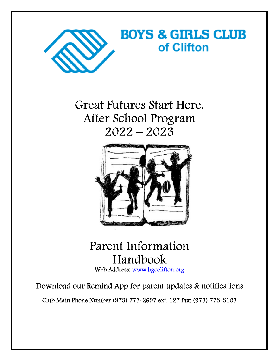

Great Futures Start Here. After School Program 2022 – 2023



# Parent Information Handbook

Web Address: www.bgcclifton.org

Download our Remind App for parent updates & notifications

Club Main Phone Number (973) 773-2697 ext. 127 fax: (973) 773-3103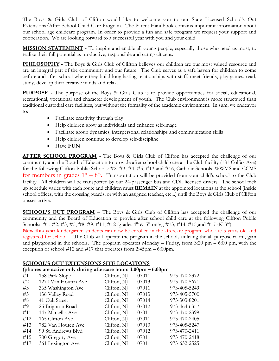The Boys & Girls Club of Clifton would like to welcome you to our State Licensed School's Out Extensions/After School Child Care Program. The Parent Handbook contains important information about our school age childcare program. In order to provide a fun and safe program we request your support and cooperation. We are looking forward to a successful year with you and your child.

**MISSION STATEMENT -** To inspire and enable all young people, especially those who need us most, to realize their full potential as productive, responsible and caring citizens.

**PHILOSOPHY** - The Boys & Girls Club of Clifton believes our children are our most valued resource and are an integral part of the community and our future. The Club serves as a safe haven for children to come before and after school where they build long lasting relationships with staff, meet friends, play games, read, study, develop their creative minds and relax.

**PURPOSE -** The purpose of the Boys & Girls Club is to provide opportunities for social, educational, recreational, vocational and character development of youth. The Club environment is more structured than traditional custodial care facilities, but without the formality of the academic environment. In sum, we endeavor to:

- Facilitate creativity through play
- Help children grow as individuals and enhance self-image
- Facilitate group dynamics, interpersonal relationships and communication skills
- Help children continue to develop self-discipline
- Have **FUN**

**AFTER SCHOOL PROGRAM** - The Boys & Girls Club of Clifton has accepted the challenge of our community and the Board of Education to provide after school child care at the Club facility (181 Colfax Ave) for the following Clifton Public Schools: #2. #3, #4, #5, #13 and #16, Catholic Schools, WWMS and CCMS for members in grades  $1^{st} - 8^{th}$ . Transportation will be provided from your child's school to the Club facility. All children will be transported by our 24-passenger bus and CDL licensed drivers. The school pick up schedule varies with each route and children must **REMAIN** at the appointed locations at the school (inside school offices, with the crossing guards, or with an assigned teacher, etc...) until the Boys & Girls Club of Clifton busses arrive.

**SCHOOL'S OUT PROGRAM** – The Boys & Girls Club of Clifton has accepted the challenge of our community and the Board of Education to provide after school child care at the following Clifton Public Schools: #1, #2, #3, #5, #8, #9, #11, #12 (grades 4<sup>th</sup> & 5<sup>th</sup> only), #13, #14, #15 and #17 (K-3<sup>rd</sup>).

**New this year** kindergarten students can now be enrolled in the aftercare program who are 5 years old and registered for school. . The Club will operate the program in the schools utilizing the all-purpose room, gym and playground in the schools. The program operates Monday – Friday, from 3:20 pm – 6:00 pm, with the exception of school  $#12$  and  $#17$  that operates from 2:45pm – 6:00pm.

#### **SCHOOL'S OUT EXTENSIONS SITE LOCATIONS**

| (phones are active only during aftercare hours $3:00 \text{pm} - 6:00 \text{pm}$ |                     |             |       |              |  |  |  |  |
|----------------------------------------------------------------------------------|---------------------|-------------|-------|--------------|--|--|--|--|
| #1                                                                               | 158 Park Slope      | Clifton, NJ | 07011 | 973-470-2372 |  |  |  |  |
| #2                                                                               | 1270 Van Houten Ave | Clifton, NJ | 07013 | 973-470-5671 |  |  |  |  |
| #3                                                                               | 365 Washington Ave  | Clifton, NJ | 07011 | 973-405-5249 |  |  |  |  |
| #5                                                                               | 136 Valley Road     | Clifton, NJ | 07013 | 973-405-5700 |  |  |  |  |
| #8                                                                               | 41 Oak Street       | Clifton, NJ | 07014 | 973-303-8201 |  |  |  |  |
| #9                                                                               | 25 Brighton Road    | Clifton, NJ | 07012 | 973-464-6357 |  |  |  |  |
| #11                                                                              | 147 Marsellis Ave   | Clifton, NJ | 07011 | 973-470-2399 |  |  |  |  |
| #12                                                                              | 165 Clifton Ave     | Clifton, NJ | 07011 | 973-470-2405 |  |  |  |  |
| #13                                                                              | 782 Van Houten Ave  | Clifton, NJ | 07013 | 973-405-5247 |  |  |  |  |
| #14                                                                              | 99 St. Andrews Blvd | Clifton, NJ | 07012 | 973-470-2411 |  |  |  |  |
| #15                                                                              | 700 Gregory Ave     | Clifton, NJ | 07011 | 973-470-2418 |  |  |  |  |
| #17                                                                              | 361 Lexington Ave   | Clifton, NJ | 07011 | 973-632-2525 |  |  |  |  |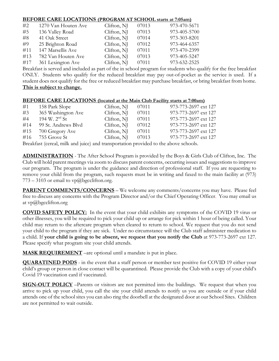#### **BEFORE CARE LOCATIONS (PROGRAM AT SCHOOL starts at 7:05am)**

| #2  | 1270 Van Houten Ave | Clifton, NJ | 07013 | 973-470-5671 |
|-----|---------------------|-------------|-------|--------------|
| #5  | 136 Valley Road     | Clifton, NJ | 07013 | 973-405-5700 |
| #8  | 41 Oak Street       | Clifton, NJ | 07014 | 973-303-8201 |
| #9  | 25 Brighton Road    | Clifton, NJ | 07012 | 973-464-6357 |
| #11 | 147 Marsellis Ave   | Clifton, NJ | 07011 | 973-470-2399 |
| #13 | 782 Van Houten Ave  | Clifton, NJ | 07013 | 973-405-5247 |
| #17 | 361 Lexington Ave   | Clifton, NJ | 07011 | 973-632-2525 |

Breakfast is served and included as part of the in school program for students who qualify for the free breakfast ONLY. Students who qualify for the reduced breakfast may pay out-of-pocket as the service is used. If a student does not qualify for the free or reduced breakfast may purchase breakfast, or bring breakfast from home. **This is subject to change.**

#### **BEFORE CARE LOCATIONS (located at the Main Club Facility starts at 7:00am)**

| #1  | 158 Park Slope      | Clifton, NJ | 07011 | 973-773-2697 ext 127 |
|-----|---------------------|-------------|-------|----------------------|
| #3  | 365 Washington Ave  | Clifton, NJ | 07011 | 973-773-2697 ext 127 |
| #4  | 194 W. $2^{nd}$ St  | Clifton, NJ | 07011 | 973-773-2697 ext 127 |
| #14 | 99 St. Andrews Blvd | Clifton, NJ | 07012 | 973-773-2697 ext 127 |
| #15 | 700 Gregory Ave     | Clifton, NJ | 07011 | 973-773-2697 ext 127 |
| #16 | 755 Grove St        | Clifton, NJ | 07013 | 973-773-2697 ext 127 |
|     |                     |             |       |                      |

Breakfast (cereal, milk and juice) and transportation provided to the above schools.

**ADMINISTRATION** - The After School Program is provided by the Boys & Girls Club of Clifton, Inc. The Club will hold parent meetings via zoom to discuss parent concerns, occurring issues and suggestions to improve our program. The program is under the guidance and direction of professional staff. If you are requesting to remove your child from the program, such requests must be in writing and faxed to the main facility at (973)  $773 - 3103$  or email to vp@bgcclifton.org.

**PARENT COMMENTS/CONCERNS** – We welcome any comments/concerns you may have. Please feel free to discuss any concerns with the Program Director and/or the Chief Operating Officer. You may email us at  $vp@$ bgcclifton.org

**COVID SAFETY POLICY:** In the event that your child exhibits any symptoms of the COVID 19 virus or other illnesses, you will be required to pick your child up or arrange for pick within 1 hour of being called. Your child may return to the aftercare program when cleared to return to school. We request that you do not send your child to the program if they are sick. Under no circumstance will the Club staff administer medication to a child. If **your child is going to be absent, we request that you notify the Club** at 973-773-2697 ext 127. Please specify what program site your child attends.

**MASK REQUIREMENT** –are optional until a mandate is put in place.

**QUARATINED PODS** - in the event that a staff person or member test positive for COVID 19 either your child's group or person in close contact will be quarantined. Please provide the Club with a copy of your child's Covid 19 vaccination card if vaccinated.

**SIGN-OUT POLICY** –Parents or visitors are not permitted into the buildings. We request that when you arrive to pick up your child, you call the site your child attends to notify us you are outside or if your child attends one of the school sites you can also ring the doorbell at the designated door at our School Sites. Children are not permitted to wait outside.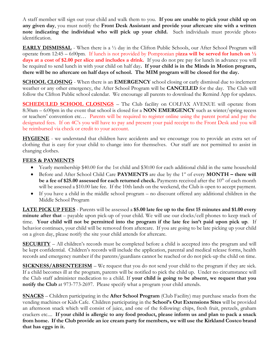A staff member will sign out your child and walk them to you. **If you are unable to pick your child up on any given day**, you must notify the **Front Desk Assistant and provide your aftercare site with a written note indicating the individual who will pick up your child.** Such individuals must provide photo identification.

**EARLY DISMISSAL** - When there is a ½ day in the Clifton Public Schools, our After School Program will operate from  $12:45 - 6:00$  pm. If lunch is not provided by Pomptonian pizza will be served for lunch on  $\frac{1}{2}$ days at a cost of \$2.00 per slice and includes a drink. If you do not pre pay for lunch in advance you will be required to send lunch in with your child on half day**. If your child is in the Minds in Motion program, there will be no aftercare on half days of school. The MIM program will be closed for the day.** 

**SCHOOL CLOSING** - When there is an **EMERGENCY** school closing or early dismissal due to inclement weather or any other emergency, the After School Program will be **CANCELED** for the day. The Club will follow the Clifton Public school calendar. We encourage all parents to download the Remind App for updates.

**SCHEDULED SCHOOL CLOSINGS** – The Club facility on COLFAX AVENUE will operate from 8:30am – 6:00pm in the event that school is closed for a **NON EMERGENCY** such as winter/spring recess or teachers' convention etc… Parents will be required to register online using the parent portal and pay the designated fees. If on 4C's you will have to pay and present your paid receipt to the Front Desk and you will be reimbursed via check or credit to your account.

**HYGIENE** - we understand that children have accidents and we encourage you to provide an extra set of clothing that is easy for your child to change into for themselves. Our staff are not permitted to assist in changing clothes.

#### **FEES & PAYMENTS**

- Yearly membership \$40.00 for the 1st child and \$30.00 for each additional child in the same household
- **Before and After School Child Care PAYMENTS** are due by the 1<sup>st</sup> of every **MONTH** there will **be a fee of \$25.00 assessed for each returned check.** Payments received after the 10<sup>th</sup> of each month will be assessed a \$10.00 late fee. If the 10th lands on the weekend, the Club is open to accept payment.
- If you have a child in the middle school program no discount offered any additional children in the Middle School Program

**LATE PICK UP FEES** - Parents will be assessed a **\$5.00 late fee up to the first 15 minutes and \$1.00 every minute after that** – payable upon pick-up of your child. We will use our clocks/cell phones to keep track of time. **Your child will not be permitted into the program if the late fee isn't paid upon pick up**. If behavior continues, your child will be removed from aftercare. If you are going to be late picking up your child on a given day, please notify the site your child attends for aftercare.

**SECURITY** – All children's records must be completed before a child is accepted into the program and will be kept confidential. Children's records will include the application, parental and medical release forms, health records and emergency number if the parents/guardians cannot be reached or do not pick-up the child on time.

**SICKNESS/ABSENTEEISM** – We request that you do not send your child to the program if they are sick. If a child becomes ill at the program, parents will be notified to pick the child up. Under no circumstance will the Club staff administer medication to a child. If **your child is going to be absent, we request that you notify the Club** at 973-773-2697. Please specify what a program your child attends.

**SNACKS** – Children participating in the **After School Program** (Club Facility) may purchase snacks from the vending machines or Kids Cafe. Children participating in the **School's Out Extensions Sites** will be provided an afternoon snack which will consist of juice, and one of the following: chips, fresh fruit, pretzels, graham crackers etc.... **If your child is allergic to any food product, please inform us and plan to pack a snack from home. If the Club provide an ice cream party for members, we will use the Kirkland Costco brand that has eggs in it.**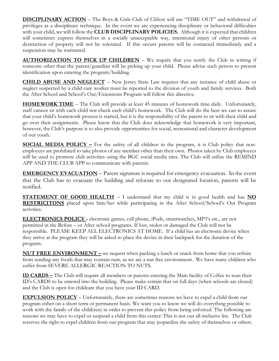**DISCIPLINARY ACTION** – The Boys & Girls Club of Clifton will use "TIME OUT" and withdrawal of privileges as a disciplinary technique. In the event we are experiencing disciplinary or behavioral difficulties with your child, we will follow the **CLUB DISCIPLINARY POLICIES.** Although it is expected that children will sometimes express themselves in a socially unacceptable way, intentional injury of other persons or destruction of property will not be tolerated. If this occurs parents will be contacted immediately and a suspension may be warranted.

**AUTHORIZATION TO PICK UP CHILDREN** – We require that you notify the Club in writing if someone other than the parent/guardian will be picking up your child. Please advise such person to present identification upon entering the program/building.

**CHILD ABUSE AND NEGLECT** – New Jersey State Law requires that any instance of child abuse or neglect suspected by a child care worker must be reported to the division of youth and family services. Both the After School and School's Out/Extensions Program will follow this directive.

**HOMEWORK TIME** – The Club will provide at least 45 minutes of homework time daily. Unfortunately, staff cannot sit with each child nor check each child's homework. The Club will do the best we can to assure that your child's homework process is started, but it is the responsibility of the parent to sit with their child and go over their assignments. Please know that the Club does acknowledge that homework is very important, however, the Club's purpose is to also provide opportunities for social, recreational and character development of our youth.

**SOCIAL MEDIA POLICY –** For the safety of all children in the program, it is Club policy that nonemployees are prohibited to take photos of any member other than their own. Photos taken by Club employees will be used to promote club activities using the BGC social media sites. The Club will utilize the REMIND APP AND THE CLUB APP to communicate with parents.

**EMERGENCY EVACUATION** – Parent signature is required for emergency evacuation. In the event that the Club has to evacuate the building and relocate to our designated location, parents will be notified.

**STATEMENT OF GOOD HEALTH** – I understand that my child is in good health and has **NO RESTRICITONS** placed upon him/her while participating in the After School/School's Out Program activities.

**ELECTRONICS POLICY -** electronic games, cell phone, iPods, smartwatches, MP3's etc., are not permitted in the Before – or After school programs. If lost, stolen or damaged the Club will not be responsible. PLEASE KEEP ALL ELECTRONICS AT HOME. If a child has an electronic device when they arrive at the program they will be asked to place the device in their backpack for the duration of the program.

**NUT FREE ENVIRONMENT –** we request when packing a lunch or snack from home that you refrain from sending any foods that may contain nuts, as we are a nut free environment. We have many children who suffer from SEVERE ALLERGIC REACTION TO NUTS.

**ID CARDS –** The Club will require all members or parents entering the Main facility of Colfax to scan their ID's CARDS to be entered into the building. Please make certain that on full days (when schools are closed) and the Club is open for childcare that you have your ID CARD.

**EXPULSION POLICY** – Unfortunately, there are sometimes reasons we have to expel a child from our program either on a short term or permanent basis. We want you to know we will do everything possible to work with the family of the child(ren) in order to prevent this policy from being enforced. The following are reasons we may have to expel or suspend a child from this center: This is not our all-inclusive list. The Club reserves the right to expel children from our program that may jeopardize the safety of themselves or others.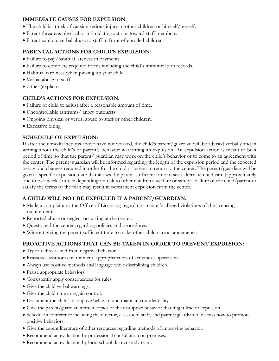#### **IMMEDIATE CAUSES FOR EXPULSION:**

- The child is at risk of causing serious injury to other children or himself/herself.
- Parent threatens physical or intimidating actions toward staff members.
- Parent exhibits verbal abuse to staff in front of enrolled children

#### **PARENTAL ACTIONS FOR CHILD'S EXPULSION:**

- Failure to pay/habitual lateness in payments.
- Failure to complete required forms including the child's immunization records.
- Habitual tardiness when picking up your child.
- Verbal abuse to staff.
- Other (explain)

#### **CHILD'S ACTIONS FOR EXPULSION:**

- Failure of child to adjust after a reasonable amount of time.
- Uncontrollable tantrums/ angry outbursts.
- Ongoing physical or verbal abuse to staff or other children.
- Excessive biting

#### **SCHEDULE OF EXPULSION:**

If after the remedial actions above have not worked, the child's parent/guardian will be advised verbally and in writing about the child's or parent's behavior warranting an expulsion. An expulsion action is meant to be a period of time so that the parent/ guardian may work on the child's behavior or to come to an agreement with the center. The parent/guardian will be informed regarding the length of the expulsion period and the expected behavioral changes required in order for the child or parent to return to the center. The parent/guardian will be given a specific expulsion date that allows the parent sufficient time to seek alternate child care (approximately one to two weeks' notice depending on risk to other children's welfare or safety). Failure of the child/parent to satisfy the terms of the plan may result in permanent expulsion from the center.

## **A CHILD WILL NOT BE EXPELLED IF A PARENT/GUARDIAN:**

- Made a complaint to the Office of Licensing regarding a center's alleged violations of the licensing requirements.
- Reported abuse or neglect occurring at the center.
- Questioned the center regarding policies and procedures.
- Without giving the parent sufficient time to make other child care arrangements.

## **PROACTIVE ACTIONS THAT CAN BE TAKEN IN ORDER TO PREVENT EXPULSION:**

- Try to redirect child from negative behavior.
- Reassess classroom environment, appropriateness of activities, supervision.
- Always use positive methods and language while disciplining children.
- Praise appropriate behaviors.
- Consistently apply consequences for rules.
- Give the child verbal warnings.
- Give the child time to regain control.
- Document the child's disruptive behavior and maintain confidentiality.
- Give the parent/guardian written copies of the disruptive behavior that might lead to expulsion.
- Schedule a conference including the director, classroom staff, and parent/guardian to discuss how to promote positive behaviors.
- Give the parent literature of other resources regarding methods of improving behavior.
- Recommend an evaluation by professional consultation on premises.
- Recommend an evaluation by local school district study team.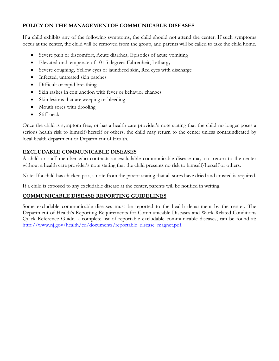#### **POLICY ON THE MANAGEMENTOF COMMUNICABLE DISEASES**

If a child exhibits any of the following symptoms, the child should not attend the center. If such symptoms occur at the center, the child will be removed from the group, and parents will be called to take the child home.

- Severe pain or discomfort, Acute diarrhea, Episodes of acute vomiting
- Elevated oral temperate of 101.5 degrees Fahrenheit, Lethargy
- Severe coughing, Yellow eyes or jaundiced skin, Red eyes with discharge
- Infected, untreated skin patches
- Difficult or rapid breathing
- Skin rashes in conjunction with fever or behavior changes
- Skin lesions that are weeping or bleeding
- Mouth sores with drooling
- $\bullet$  Stiff neck

Once the child is symptom-free, or has a health care provider's note stating that the child no longer poses a serious health risk to himself/herself or others, the child may return to the center unless contraindicated by local health department or Department of Health.

## **EXCLUDABLE COMMUNICABLE DISEASES**

A child or staff member who contracts an excludable communicable disease may not return to the center without a health care provider's note stating that the child presents no risk to himself/herself or others.

Note: If a child has chicken pox, a note from the parent stating that all sores have dried and crusted is required.

If a child is exposed to any excludable disease at the center, parents will be notified in writing.

#### **COMMUNICABLE DISEASE REPORTING GUIDELINES**

Some excludable communicable diseases must be reported to the health department by the center. The Department of Health's Reporting Requirements for Communicable Diseases and Work-Related Conditions Quick Reference Guide, a complete list of reportable excludable communicable diseases, can be found at: http://www.nj.gov/health/cd/documents/reportable\_disease\_magnet.pdf.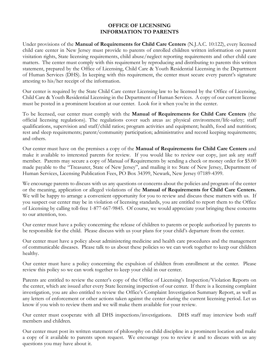#### **OFFICE OF LICENSING INFORMATION TO PARENTS**

Under provisions of the **Manual of Requirements for Child Care Centers** (N.J.A.C. 10:122), every licensed child care center in New Jersey must provide to parents of enrolled children written information on parent visitation rights, State licensing requirements, child abuse/neglect reporting requirements and other child care matters. The center must comply with this requirement by reproducing and distributing to parents this written statement, prepared by the Office of Licensing, Child Care & Youth Residential Licensing in the Department of Human Services (DHS). In keeping with this requirement, the center must secure every parent's signature attesting to his/her receipt of the information.

Our center is required by the State Child Care center Licensing law to be licensed by the Office of Licensing, Child Care & Youth Residential Licensing in the Department of Human Services. A copy of our current license must be posted in a prominent location at our center. Look for it when you're in the center.

To be licensed, our center must comply with the **Manual of Requirements for Child Care Centers** (the official licensing regulations). The regulations cover such areas as: physical environment/life-safety; staff qualifications, supervision and staff/child ratios; program activities and equipment; health, food and nutrition; rest and sleep requirements; parent/community participation; administrative and record keeping requirements; and others.

Our center must have on the premises a copy of the **Manual of Requirements for Child Care Centers** and make it available to interested parents for review. If you would like to review our copy, just ask any staff member. Parents may secure a copy of Manual of Requirements by sending a check or money order for \$5.00 made payable to the "Treasurer, State of New Jersey", and mailing it to: State of New Jersey, Department of Human Services, Licensing Publication Fees, PO Box 34399, Newark, New Jersey 07189-4399.

We encourage parents to discuss with us any questions or concerns about the policies and program of the center or the meaning, application or alleged violations of the **Manual of Requirements for Child Care Centers.**  We will be happy to arrange a convenient opportunity for you to review and discuss these matters with us. If you suspect our center may be in violation of licensing standards, you are entitled to report them to the Office of Licensing by calling toll-free 1-877-667-9845. Of course, we would appreciate your bringing these concerns to our attention, too.

Our center must have a policy concerning the release of children to parents or people authorized by parents to be responsible for the child. Please discuss with us your plans for your child's departure from the center.

Our center must have a policy about administering medicine and health care procedures and the management of communicable diseases. Please talk to us about these policies so we can work together to keep our children healthy.

Our center must have a policy concerning the expulsion of children from enrollment at the center. Please review this policy so we can work together to keep your child in our center.

Parents are entitled to review the center's copy of the Office of Licensing's Inspection/Violation Reports on the center, which are issued after every State licensing inspection of our center. If there is a licensing complaint investigation, you are also entitled to review the Office's Complaint Investigation Summary Report, as well as any letters of enforcement or other actions taken against the center during the current licensing period. Let us know if you wish to review them and we will make them available for your review.

Our center must cooperate with all DHS inspections/investigations. DHS staff may interview both staff members and children.

Our center must post its written statement of philosophy on child discipline in a prominent location and make a copy of it available to parents upon request. We encourage you to review it and to discuss with us any questions you may have about it.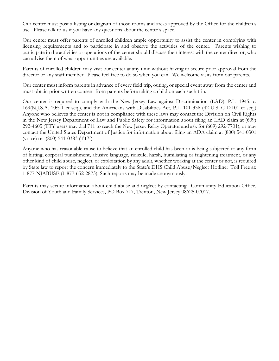Our center must post a listing or diagram of those rooms and areas approved by the Office for the children's use. Please talk to us if you have any questions about the center's space.

Our center must offer parents of enrolled children ample opportunity to assist the center in complying with licensing requirements and to participate in and observe the activities of the center. Parents wishing to participate in the activities or operations of the center should discuss their interest with the center director, who can advise them of what opportunities are available.

Parents of enrolled children may visit our center at any time without having to secure prior approval from the director or any staff member. Please feel free to do so when you can. We welcome visits from our parents.

Our center must inform parents in advance of every field trip, outing, or special event away from the center and must obtain prior written consent from parents before taking a child on each such trip.

Our center is required to comply with the New Jersey Law against Discrimination (LAD), P.L. 1945, c. 169(N.J.S.A. 10:5-1 et seq.), and the Americans with Disabilities Act, P.L. 101-336 (42 U.S. C 12101 et seq.) Anyone who believes the center is not in compliance with these laws may contact the Division on Civil Rights in the New Jersey Department of Law and Public Safety for information about filing an LAD claim at (609) 292-4605 (TTY users may dial 711 to reach the New Jersey Relay Operator and ask for (609) 292-7701), or may contact the United States Department of Justice for information about filing an ADA claim at (800) 541-0301 (voice) or (800) 541-0383 (TTY).

Anyone who has reasonable cause to believe that an enrolled child has been or is being subjected to any form of hitting, corporal punishment, abusive language, ridicule, harsh, humiliating or frightening treatment, or any other kind of child abuse, neglect, or exploitation by any adult, whether working at the center or not, is required by State law to report the concern immediately to the State's DHS Child Abuse/Neglect Hotline: Toll Free at: 1-877-NJABUSE (1-877-652-2873). Such reports may be made anonymously.

Parents may secure information about child abuse and neglect by contacting: Community Education Office, Division of Youth and Family Services, PO Box 717, Trenton, New Jersey 08625-07017.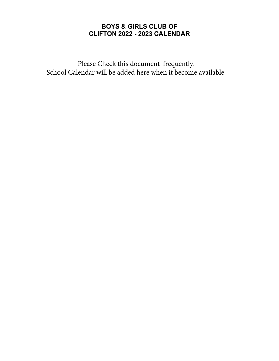# **BOYS & GIRLS CLUB OF CLIFTON 2022 - 2023 CALENDAR**

Please Check this document frequently. School Calendar will be added here when it become available.